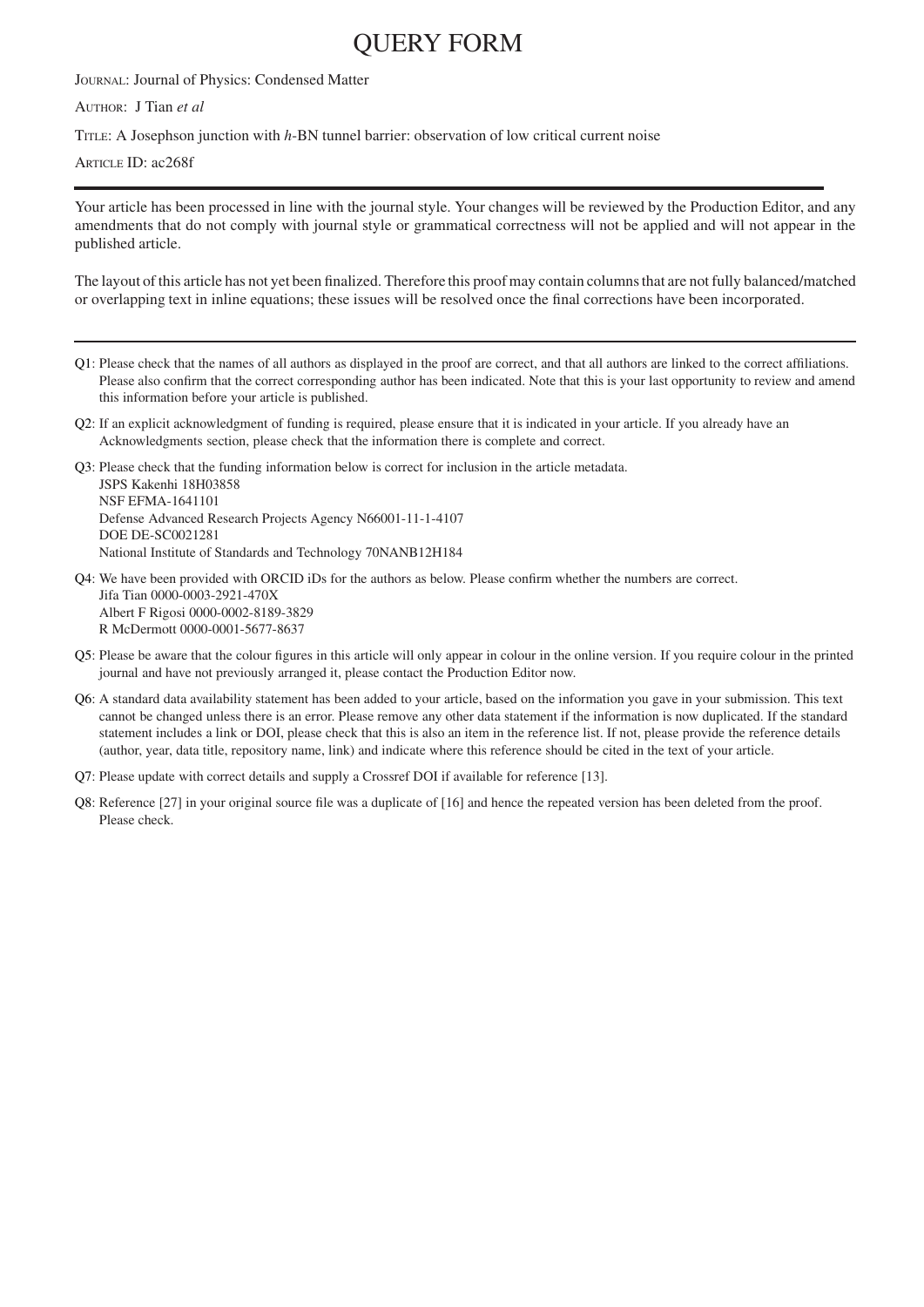## QUERY FORM

JOURNAL: Journal of Physics: Condensed Matter

AUTHOR: J Tian *et al*

TITLE: A Josephson junction with *h*-BN tunnel barrier: observation of low critical current noise

ARTICLE ID: ac268f

Your article has been processed in line with the journal style. Your changes will be reviewed by the Production Editor, and any amendments that do not comply with journal style or grammatical correctness will not be applied and will not appear in the published article.

The layout of this article has not yet been finalized. Therefore this proof may contain columns that are not fully balanced/matched or overlapping text in inline equations; these issues will be resolved once the final corrections have been incorporated.

- <span id="page-0-0"></span>[Q1:](#page-1-0) Please check that the names of all authors as displayed in the proof are correct, and that all authors are linked to the correct affiliations. Please also confirm that the correct corresponding author has been indicated. Note that this is your last opportunity to review and amend this information before your article is published.
- <span id="page-0-1"></span>[Q2:](#page-1-1) If an explicit acknowledgment of funding is required, please ensure that it is indicated in your article. If you already have an Acknowledgments section, please check that the information there is complete and correct.

<span id="page-0-2"></span>[Q3:](#page-1-2) Please check that the funding information below is correct for inclusion in the article metadata. JSPS Kakenhi 18H03858 NSF EFMA-1641101 Defense Advanced Research Projects Agency N66001-11-1-4107 DOE DE-SC0021281 National Institute of Standards and Technology 70NANB12H184

<span id="page-0-3"></span>[Q4:](#page-1-3) We have been provided with ORCID iDs for the authors as below. Please confirm whether the numbers are correct. Jifa Tian 0000-0003-2921-470X Albert F Rigosi 0000-0002-8189-3829 R McDermott 0000-0001-5677-8637

- <span id="page-0-4"></span>[Q5:](#page-1-4) Please be aware that the colour figures in this article will only appear in colour in the online version. If you require colour in the printed journal and have not previously arranged it, please contact the Production Editor now.
- <span id="page-0-5"></span>[Q6:](#page-5-0) A standard data availability statement has been added to your article, based on the information you gave in your submission. This text cannot be changed unless there is an error. Please remove any other data statement if the information is now duplicated. If the standard statement includes a link or DOI, please check that this is also an item in the reference list. If not, please provide the reference details (author, year, data title, repository name, link) and indicate where this reference should be cited in the text of your article.
- [Q7:](#page-5-1) Please update with correct details and supply a Crossref DOI if available for reference [13].
- <span id="page-0-7"></span><span id="page-0-6"></span>[Q8:](#page-5-2) Reference [27] in your original source file was a duplicate of [16] and hence the repeated version has been deleted from the proof. Please check.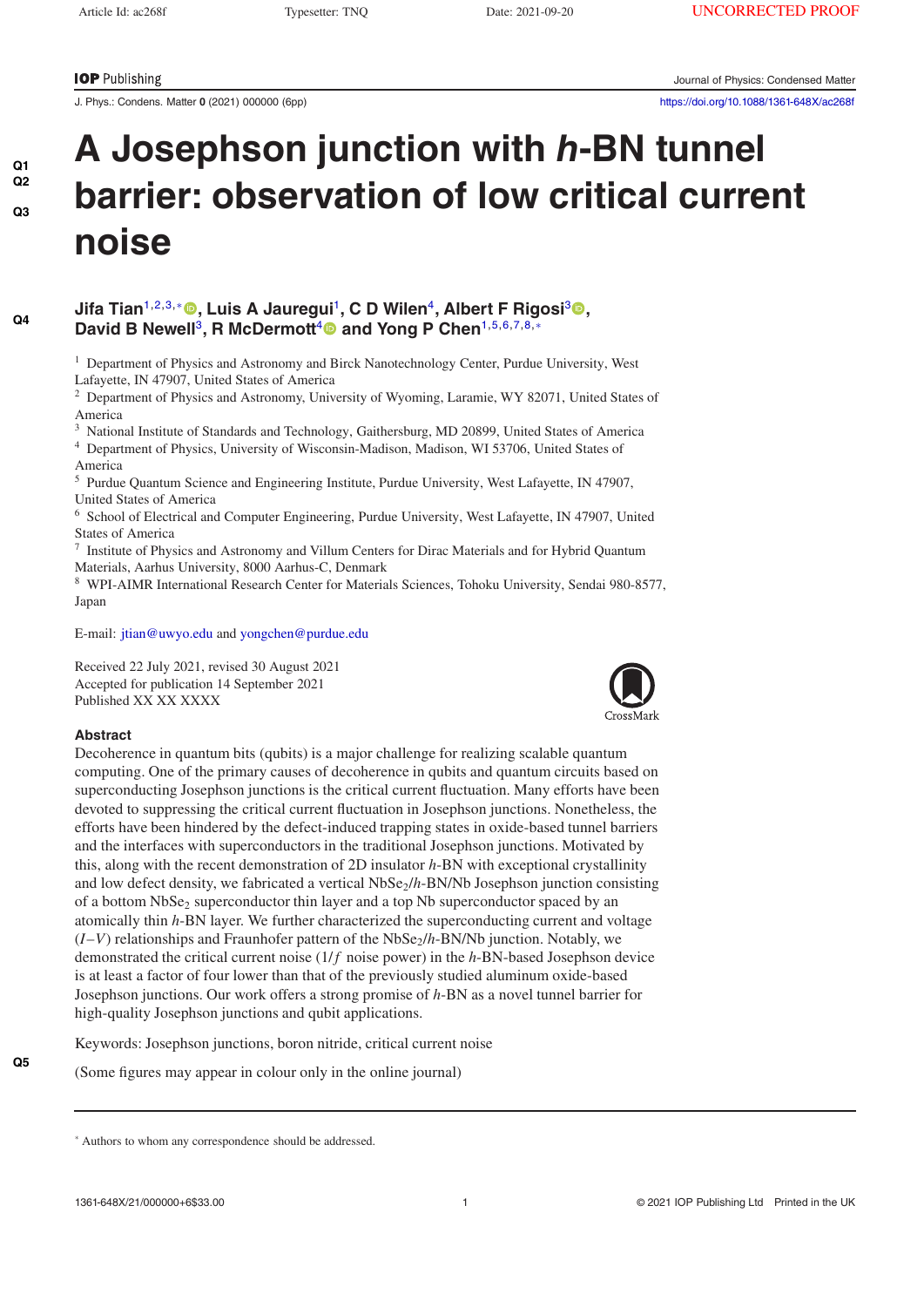## <span id="page-1-2"></span><span id="page-1-1"></span><span id="page-1-0"></span>**[Q2](#page-0-1) [Q3](#page-0-2)**

<span id="page-1-3"></span>**[Q4](#page-0-3)**

# **A Josephson junction with** *h***-BN tunnel [Q1](#page-0-0) barrier: observation of low critical current noise**

### **Jifa Tian**1,2,3,[∗](#page-1-5) **[,](https://orcid.org/0000-0003-2921-470X) Luis A Jauregui**<sup>1</sup>**, C D Wilen**<sup>4</sup>**, Albert F Rigosi**[3](https://orcid.org/0000-0002-8189-3829) **,** David B Newell<sup>3</sup>, R McDermott<sup>[4](https://orcid.org/0000-0001-5677-8637)</sup><sup>®</sup> and Yong P Chen<sup>1,5,6,7,8,[∗](#page-1-5)</sup>

<span id="page-1-5"></span> $<sup>1</sup>$  Department of Physics and Astronomy and Birck Nanotechnology Center, Purdue University, West</sup> Lafayette, IN 47907, United States of America

<sup>2</sup> Department of Physics and Astronomy, University of Wyoming, Laramie, WY 82071, United States of America

<sup>3</sup> National Institute of Standards and Technology, Gaithersburg, MD 20899, United States of America <sup>4</sup> Department of Physics, University of Wisconsin-Madison, Madison, WI 53706, United States of

America

<sup>5</sup> Purdue Quantum Science and Engineering Institute, Purdue University, West Lafayette, IN 47907, United States of America

<sup>6</sup> School of Electrical and Computer Engineering, Purdue University, West Lafayette, IN 47907, United States of America

<sup>7</sup> Institute of Physics and Astronomy and Villum Centers for Dirac Materials and for Hybrid Quantum Materials, Aarhus University, 8000 Aarhus-C, Denmark

<sup>8</sup> WPI-AIMR International Research Center for Materials Sciences, Tohoku University, Sendai 980-8577, Japan

E-mail: [jtian@uwyo.edu](mailto:jtian@uwyo.edu) and [yongchen@purdue.edu](mailto:yongchen@purdue.edu)

Received 22 July 2021, revised 30 August 2021 Accepted for publication 14 September 2021 Published XX XX XXXX



#### **Abstract**

<span id="page-1-4"></span>**[Q5](#page-0-4)**

Decoherence in quantum bits (qubits) is a major challenge for realizing scalable quantum computing. One of the primary causes of decoherence in qubits and quantum circuits based on superconducting Josephson junctions is the critical current fluctuation. Many efforts have been devoted to suppressing the critical current fluctuation in Josephson junctions. Nonetheless, the efforts have been hindered by the defect-induced trapping states in oxide-based tunnel barriers and the interfaces with superconductors in the traditional Josephson junctions. Motivated by this, along with the recent demonstration of 2D insulator *h*-BN with exceptional crystallinity and low defect density, we fabricated a vertical NbSe<sub>2</sub>/h-BN/Nb Josephson junction consisting of a bottom  $NbSe<sub>2</sub>$  superconductor thin layer and a top Nb superconductor spaced by an atomically thin *h*-BN layer. We further characterized the superconducting current and voltage  $(I-V)$  relationships and Fraunhofer pattern of the NbSe<sub>2</sub>/h-BN/Nb junction. Notably, we demonstrated the critical current noise (1/*f* noise power) in the *h*-BN-based Josephson device is at least a factor of four lower than that of the previously studied aluminum oxide-based Josephson junctions. Our work offers a strong promise of *h*-BN as a novel tunnel barrier for high-quality Josephson junctions and qubit applications.

Keywords: Josephson junctions, boron nitride, critical current noise

(Some figures may appear in colour only in the online journal)

<sup>∗</sup> Authors to whom any correspondence should be addressed.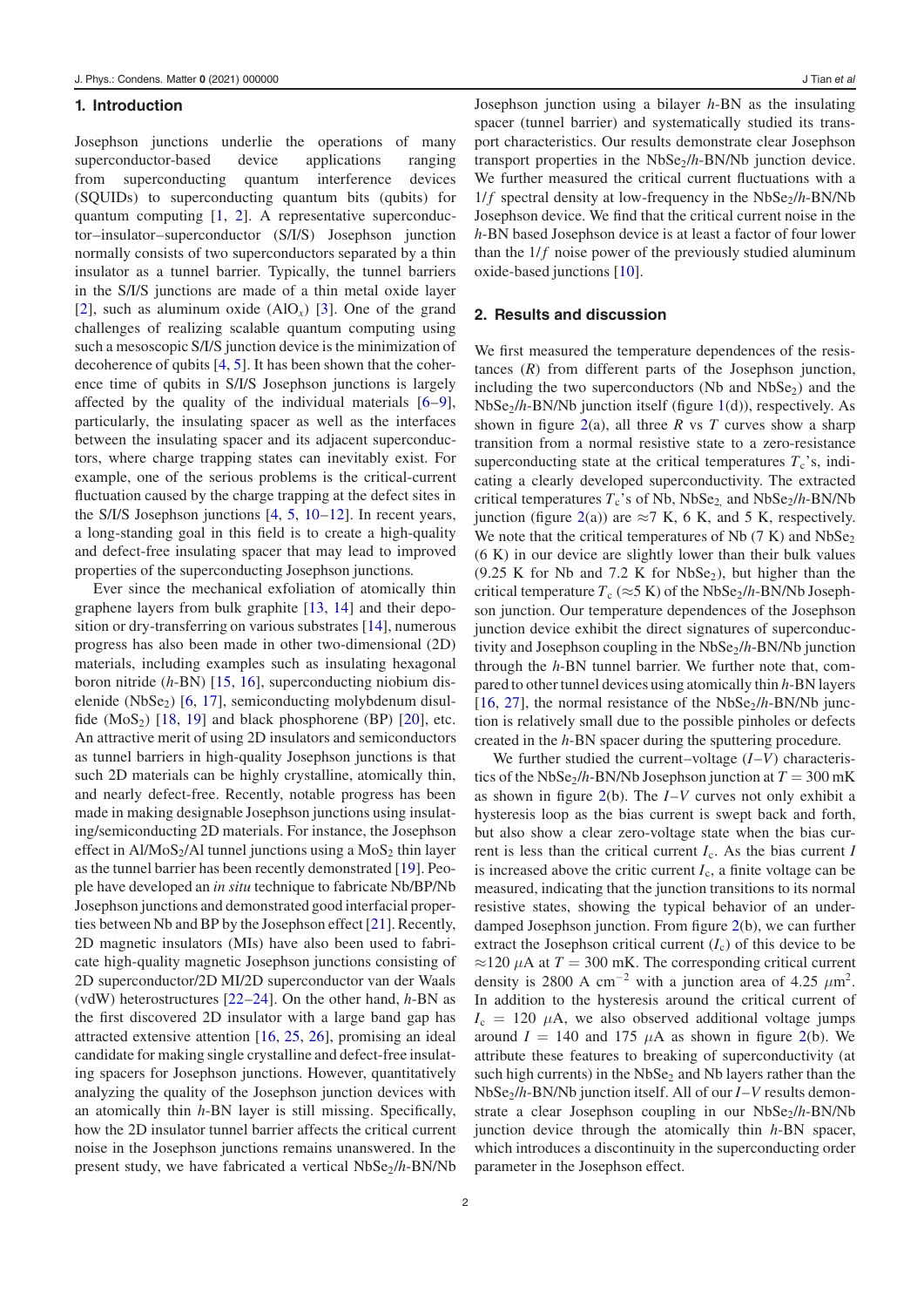#### **1. Introduction**

Josephson junctions underlie the operations of many superconductor-based device applications ranging from superconducting quantum interference devices (SQUIDs) to superconducting quantum bits (qubits) for quantum computing [\[1,](#page-5-3) [2\]](#page-5-4). A representative superconductor–insulator–superconductor (S/I/S) Josephson junction normally consists of two superconductors separated by a thin insulator as a tunnel barrier. Typically, the tunnel barriers in the S/I/S junctions are made of a thin metal oxide layer [\[2\]](#page-5-4), such as aluminum oxide (AlO*x*) [\[3\]](#page-5-5). One of the grand challenges of realizing scalable quantum computing using such a mesoscopic S/I/S junction device is the minimization of decoherence of qubits [\[4,](#page-5-6) [5\]](#page-5-7). It has been shown that the coherence time of qubits in S/I/S Josephson junctions is largely affected by the quality of the individual materials [\[6](#page-5-8)[–9\]](#page-5-9), particularly, the insulating spacer as well as the interfaces between the insulating spacer and its adjacent superconductors, where charge trapping states can inevitably exist. For example, one of the serious problems is the critical-current fluctuation caused by the charge trapping at the defect sites in the S/I/S Josephson junctions [\[4,](#page-5-6) [5,](#page-5-7) [10](#page-5-10)[–12\]](#page-5-11). In recent years, a long-standing goal in this field is to create a high-quality and defect-free insulating spacer that may lead to improved properties of the superconducting Josephson junctions.

Ever since the mechanical exfoliation of atomically thin graphene layers from bulk graphite [\[13,](#page-5-12) [14\]](#page-5-13) and their deposition or dry-transferring on various substrates [\[14\]](#page-5-13), numerous progress has also been made in other two-dimensional (2D) materials, including examples such as insulating hexagonal boron nitride (*h*-BN) [\[15,](#page-5-14) [16\]](#page-5-15), superconducting niobium dis-elenide (NbSe<sub>2</sub>) [\[6,](#page-5-8) [17\]](#page-5-16), semiconducting molybdenum disulfide  $(MoS<sub>2</sub>)$  [\[18,](#page-5-17) [19\]](#page-5-18) and black phosphorene (BP) [\[20\]](#page-5-19), etc. An attractive merit of using 2D insulators and semiconductors as tunnel barriers in high-quality Josephson junctions is that such 2D materials can be highly crystalline, atomically thin, and nearly defect-free. Recently, notable progress has been made in making designable Josephson junctions using insulating/semiconducting 2D materials. For instance, the Josephson effect in  $AI/MoS_2/A1$  tunnel junctions using a  $MoS_2$  thin layer as the tunnel barrier has been recently demonstrated [\[19\]](#page-5-18). People have developed an *in situ* technique to fabricate Nb/BP/Nb Josephson junctions and demonstrated good interfacial properties between Nb and BP by the Josephson effect [\[21\]](#page-5-20). Recently, 2D magnetic insulators (MIs) have also been used to fabricate high-quality magnetic Josephson junctions consisting of 2D superconductor/2D MI/2D superconductor van der Waals (vdW) heterostructures [\[22](#page-5-21)[–24\]](#page-5-22). On the other hand, *h*-BN as the first discovered 2D insulator with a large band gap has attracted extensive attention [\[16,](#page-5-15) [25,](#page-5-23) [26\]](#page-5-24), promising an ideal candidate for making single crystalline and defect-free insulating spacers for Josephson junctions. However, quantitatively analyzing the quality of the Josephson junction devices with an atomically thin *h*-BN layer is still missing. Specifically, how the 2D insulator tunnel barrier affects the critical current noise in the Josephson junctions remains unanswered. In the present study, we have fabricated a vertical NbSe<sub>2</sub>/h-BN/Nb Josephson junction using a bilayer *h*-BN as the insulating spacer (tunnel barrier) and systematically studied its transport characteristics. Our results demonstrate clear Josephson transport properties in the NbSe<sub>2</sub>/h-BN/Nb junction device. We further measured the critical current fluctuations with a  $1/f$  spectral density at low-frequency in the NbSe<sub>2</sub>/h-BN/Nb Josephson device. We find that the critical current noise in the *h*-BN based Josephson device is at least a factor of four lower than the  $1/f$  noise power of the previously studied aluminum oxide-based junctions [\[10\]](#page-5-10).

#### **2. Results and discussion**

We first measured the temperature dependences of the resistances (*R*) from different parts of the Josephson junction, including the two superconductors (Nb and  $NbSe<sub>2</sub>$ ) and the NbSe2/*h*-BN/Nb junction itself (figure [1\(](#page-3-0)d)), respectively. As shown in figure  $2(a)$  $2(a)$ , all three *R* vs *T* curves show a sharp transition from a normal resistive state to a zero-resistance superconducting state at the critical temperatures  $T_c$ 's, indicating a clearly developed superconductivity. The extracted critical temperatures  $T_c$ 's of Nb, NbSe<sub>2</sub>, and NbSe<sub>2</sub>/*h*-BN/Nb junction (figure [2\(](#page-4-0)a)) are  $\approx$ 7 K, 6 K, and 5 K, respectively. We note that the critical temperatures of Nb  $(7 K)$  and NbSe<sub>2</sub> (6 K) in our device are slightly lower than their bulk values  $(9.25 \text{ K}$  for Nb and 7.2 K for NbSe<sub>2</sub>), but higher than the critical temperature  $T_c$  ( $\approx$ 5 K) of the NbSe<sub>2</sub>/h-BN/Nb Josephson junction. Our temperature dependences of the Josephson junction device exhibit the direct signatures of superconductivity and Josephson coupling in the NbSe<sub>2</sub>/h-BN/Nb junction through the *h*-BN tunnel barrier. We further note that, compared to other tunnel devices using atomically thin *h*-BN layers [\[16,](#page-5-15) [27\]](#page-5-25), the normal resistance of the  $NbSe<sub>2</sub>/h-BN/Nb$  junction is relatively small due to the possible pinholes or defects created in the *h*-BN spacer during the sputtering procedure.

We further studied the current–voltage (*I*–*V*) characteristics of the NbSe<sub>2</sub>/h-BN/Nb Josephson junction at  $T = 300$  mK as shown in figure [2\(](#page-4-0)b). The *I*–*V* curves not only exhibit a hysteresis loop as the bias current is swept back and forth, but also show a clear zero-voltage state when the bias current is less than the critical current *I*c. As the bias current *I* is increased above the critic current  $I_c$ , a finite voltage can be measured, indicating that the junction transitions to its normal resistive states, showing the typical behavior of an underdamped Josephson junction. From figure [2\(](#page-4-0)b), we can further extract the Josephson critical current  $(I_c)$  of this device to be  $\approx$ 120  $\mu$ A at *T* = 300 mK. The corresponding critical current density is 2800 A cm<sup>-2</sup> with a junction area of 4.25  $\mu$ m<sup>2</sup>. In addition to the hysteresis around the critical current of  $I_c = 120 \mu A$ , we also observed additional voltage jumps around  $I = 140$  and 175  $\mu$ A as shown in figure [2\(](#page-4-0)b). We attribute these features to breaking of superconductivity (at such high currents) in the NbSe<sub>2</sub> and Nb layers rather than the NbSe2/*h*-BN/Nb junction itself. All of our *I*–*V* results demonstrate a clear Josephson coupling in our NbSe<sub>2</sub>/h-BN/Nb junction device through the atomically thin *h*-BN spacer, which introduces a discontinuity in the superconducting order parameter in the Josephson effect.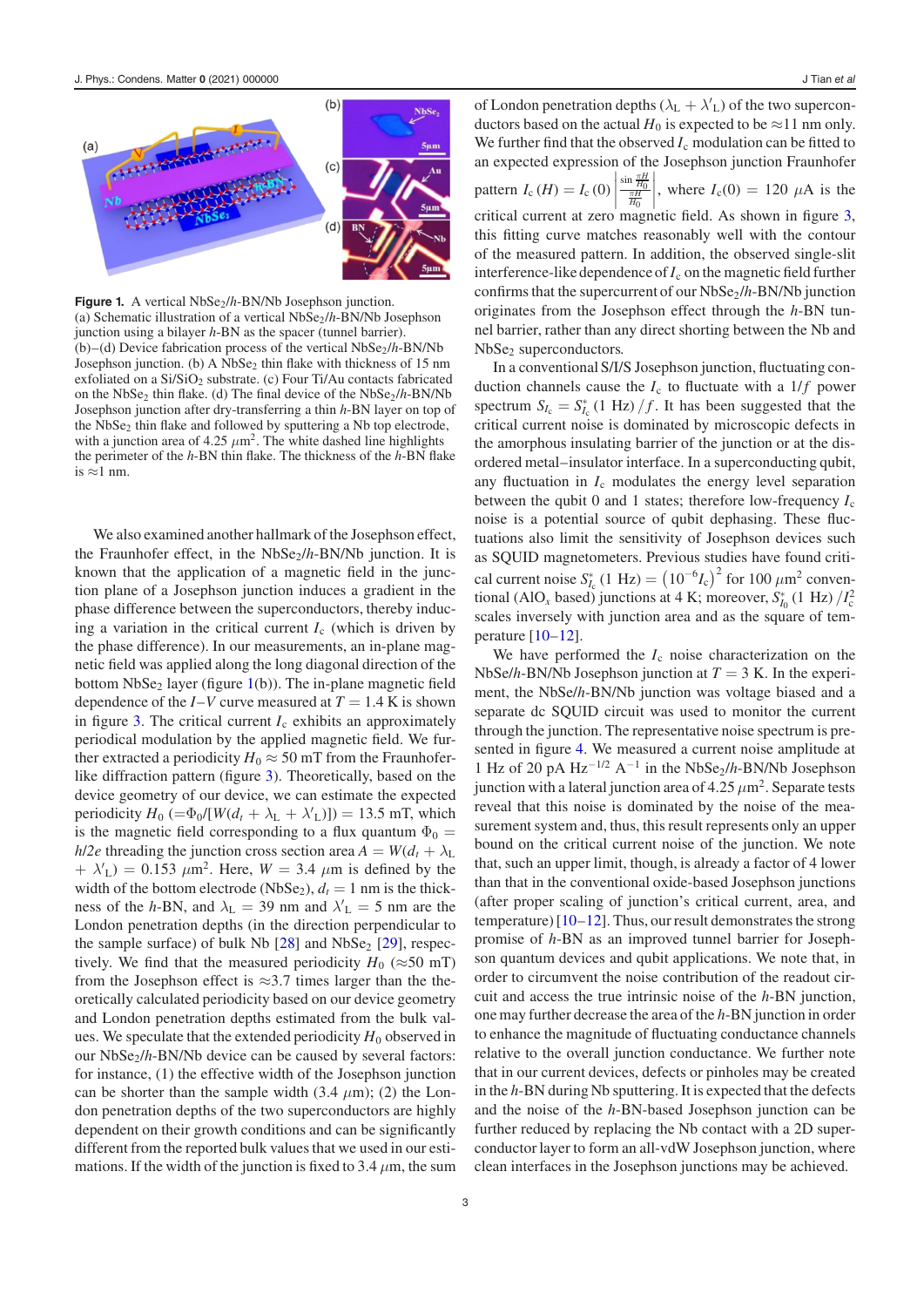<span id="page-3-0"></span>

**Figure 1.** A vertical NbSe<sub>2</sub>/h-BN/Nb Josephson junction. (a) Schematic illustration of a vertical NbSe2/*h*-BN/Nb Josephson junction using a bilayer *h*-BN as the spacer (tunnel barrier). (b)–(d) Device fabrication process of the vertical NbSe<sub>2</sub>/h-BN/Nb Josephson junction. (b) A  $NbSe<sub>2</sub>$  thin flake with thickness of 15 nm exfoliated on a  $Si/SiO<sub>2</sub>$  substrate. (c) Four Ti/Au contacts fabricated on the NbSe<sub>2</sub> thin flake. (d) The final device of the  $NbSe<sub>2</sub>/h-BN/Nb$ Josephson junction after dry-transferring a thin *h*-BN layer on top of the NbSe<sub>2</sub> thin flake and followed by sputtering a Nb top electrode, with a junction area of 4.25  $\mu$ m<sup>2</sup>. The white dashed line highlights the perimeter of the *h*-BN thin flake. The thickness of the *h*-BN flake is ≈1 nm.

We also examined another hallmark of the Josephson effect, the Fraunhofer effect, in the NbSe<sub>2</sub>/h-BN/Nb junction. It is known that the application of a magnetic field in the junction plane of a Josephson junction induces a gradient in the phase difference between the superconductors, thereby inducing a variation in the critical current  $I_c$  (which is driven by the phase difference). In our measurements, an in-plane magnetic field was applied along the long diagonal direction of the bottom  $NbSe<sub>2</sub>$  layer (figure [1\(](#page-3-0)b)). The in-plane magnetic field dependence of the  $I-V$  curve measured at  $T = 1.4$  K is shown in figure [3.](#page-4-1) The critical current  $I_c$  exhibits an approximately periodical modulation by the applied magnetic field. We further extracted a periodicity  $H_0 \approx 50$  mT from the Fraunhoferlike diffraction pattern (figure [3\)](#page-4-1). Theoretically, based on the device geometry of our device, we can estimate the expected periodicity  $H_0$  (= $\Phi_0/[W(d_t + \lambda_L + \lambda'_L)])$  = 13.5 mT, which is the magnetic field corresponding to a flux quantum  $\Phi_0 =$ *h*/2*e* threading the junction cross section area  $A = W(d_t + \lambda_L)$  $+ \lambda'_{\rm L}$ ) = 0.153  $\mu$ m<sup>2</sup>. Here, *W* = 3.4  $\mu$ m is defined by the width of the bottom electrode (NbSe<sub>2</sub>),  $d_t = 1$  nm is the thickness of the *h*-BN, and  $\lambda_L = 39$  nm and  $\lambda_L = 5$  nm are the London penetration depths (in the direction perpendicular to the sample surface) of bulk Nb  $[28]$  and NbSe<sub>2</sub>  $[29]$ , respectively. We find that the measured periodicity  $H_0$  ( $\approx$ 50 mT) from the Josephson effect is  $\approx$ 3.7 times larger than the theoretically calculated periodicity based on our device geometry and London penetration depths estimated from the bulk values. We speculate that the extended periodicity  $H_0$  observed in our NbSe<sub>2</sub>/h-BN/Nb device can be caused by several factors: for instance, (1) the effective width of the Josephson junction can be shorter than the sample width  $(3.4 \mu m)$ ; (2) the London penetration depths of the two superconductors are highly dependent on their growth conditions and can be significantly different from the reported bulk values that we used in our estimations. If the width of the junction is fixed to 3.4  $\mu$ m, the sum

of London penetration depths ( $\lambda_L + \lambda'_{L}$ ) of the two superconductors based on the actual  $H_0$  is expected to be  $\approx$ 11 nm only. We further find that the observed  $I_c$  modulation can be fitted to an expected expression of the Josephson junction Fraunhofer pattern  $I_c(H) = I_c(0)$  $\frac{\sin \frac{\pi H}{H_0}}{\frac{\pi H}{H_0}}$ where  $I_c(0) = 120 \mu A$  is the critical current at zero magnetic field. As shown in figure [3,](#page-4-1) this fitting curve matches reasonably well with the contour of the measured pattern. In addition, the observed single-slit interference-like dependence of  $I_c$  on the magnetic field further confirms that the supercurrent of our NbSe<sub>2</sub>/h-BN/Nb junction originates from the Josephson effect through the *h*-BN tunnel barrier, rather than any direct shorting between the Nb and NbSe<sub>2</sub> superconductors.

In a conventional S/I/S Josephson junction, fluctuating conduction channels cause the  $I_c$  to fluctuate with a  $1/f$  power spectrum  $S_{I_c} = S_{I_c}^* (1 \text{ Hz}) / f$ . It has been suggested that the critical current noise is dominated by microscopic defects in the amorphous insulating barrier of the junction or at the disordered metal–insulator interface. In a superconducting qubit, any fluctuation in  $I_c$  modulates the energy level separation between the qubit 0 and 1 states; therefore low-frequency  $I_c$ noise is a potential source of qubit dephasing. These fluctuations also limit the sensitivity of Josephson devices such as SQUID magnetometers. Previous studies have found critical current noise  $S_{I_c}^*$  (1 Hz) =  $(10^{-6}I_c)^2$  for 100  $\mu$ m<sup>2</sup> conventional (AlO<sub>x</sub> based) junctions at 4 K; moreover,  $S_{I_0}^*$  (1 Hz)  $/I_c^2$ scales inversely with junction area and as the square of temperature [\[10](#page-5-10)[–12\]](#page-5-11).

We have performed the  $I_c$  noise characterization on the NbSe/*h*-BN/Nb Josephson junction at *T* = 3 K. In the experiment, the NbSe/*h*-BN/Nb junction was voltage biased and a separate dc SQUID circuit was used to monitor the current through the junction. The representative noise spectrum is presented in figure [4.](#page-4-2) We measured a current noise amplitude at 1 Hz of 20 pA Hz−1/2 A−<sup>1</sup> in the NbSe2/*h*-BN/Nb Josephson junction with a lateral junction area of 4.25  $\mu$ m<sup>2</sup>. Separate tests reveal that this noise is dominated by the noise of the measurement system and, thus, this result represents only an upper bound on the critical current noise of the junction. We note that, such an upper limit, though, is already a factor of 4 lower than that in the conventional oxide-based Josephson junctions (after proper scaling of junction's critical current, area, and temperature) [\[10–](#page-5-10)[12\]](#page-5-11). Thus, our result demonstrates the strong promise of *h*-BN as an improved tunnel barrier for Josephson quantum devices and qubit applications. We note that, in order to circumvent the noise contribution of the readout circuit and access the true intrinsic noise of the *h*-BN junction, one may further decrease the area of the *h*-BN junction in order to enhance the magnitude of fluctuating conductance channels relative to the overall junction conductance. We further note that in our current devices, defects or pinholes may be created in the *h*-BN during Nb sputtering. It is expected that the defects and the noise of the *h*-BN-based Josephson junction can be further reduced by replacing the Nb contact with a 2D superconductor layer to form an all-vdW Josephson junction, where clean interfaces in the Josephson junctions may be achieved.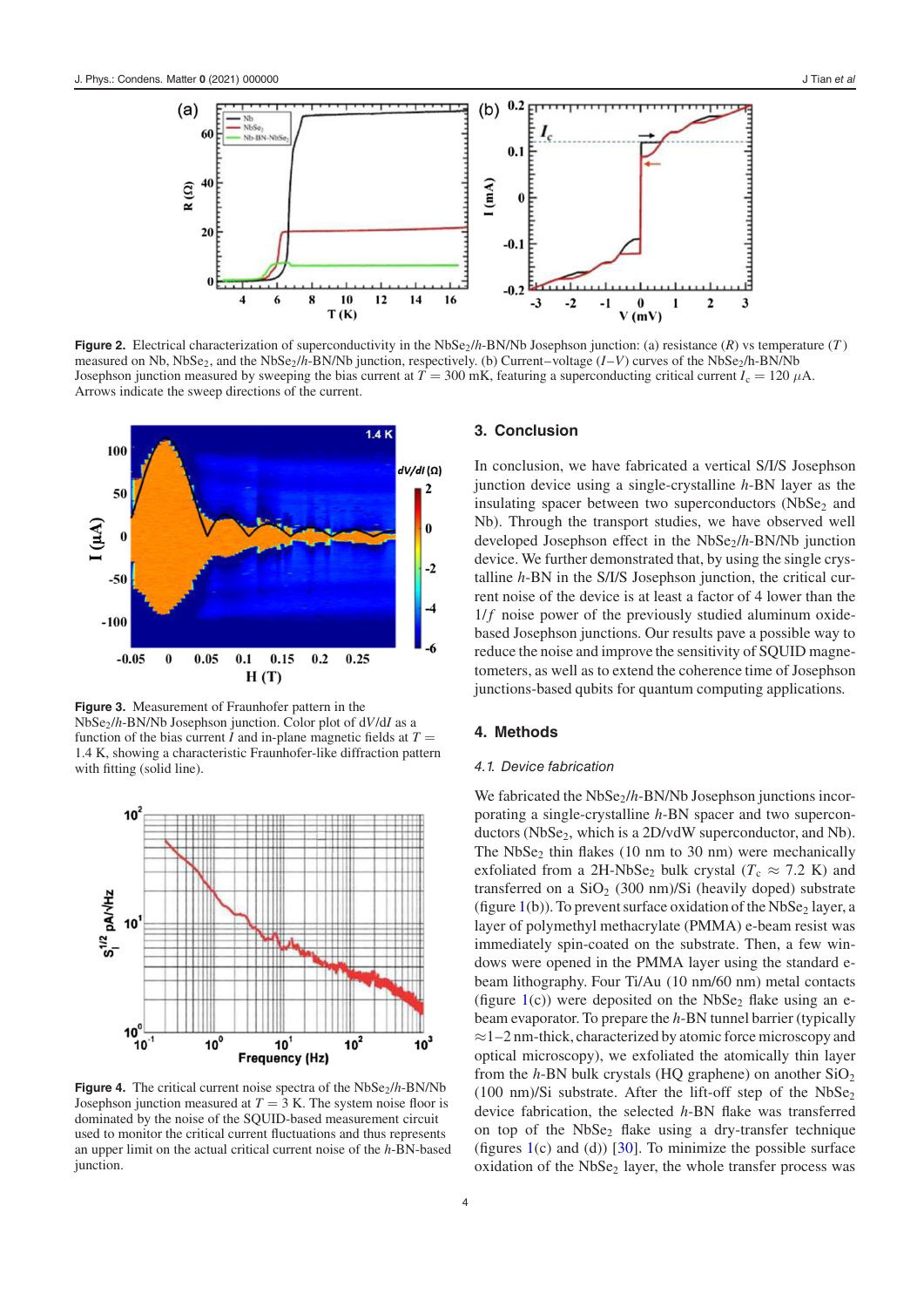<span id="page-4-0"></span>

**Figure 2.** Electrical characterization of superconductivity in the NbSe<sub>2</sub>/h-BN/Nb Josephson junction: (a) resistance (*R*) vs temperature (*T*) measured on Nb, NbSe<sub>2</sub>, and the NbSe<sub>2</sub>/h-BN/Nb junction, respectively. (b) Current–voltage (*I*–*V*) curves of the NbSe<sub>2</sub>/h-BN/Nb Josephson junction measured by sweeping the bias current at  $T = 300$  mK, featuring a superconducting critical current  $I_c = 120 \mu A$ . Arrows indicate the sweep directions of the current.

<span id="page-4-1"></span>

**Figure 3.** Measurement of Fraunhofer pattern in the NbSe2/*h*-BN/Nb Josephson junction. Color plot of d*V*/d*I* as a function of the bias current *I* and in-plane magnetic fields at  $T =$ 1.4 K, showing a characteristic Fraunhofer-like diffraction pattern with fitting (solid line).

<span id="page-4-2"></span>

**Figure 4.** The critical current noise spectra of the  $NbSe<sub>2</sub>/h-BN/Nb$ Josephson junction measured at  $T = 3$  K. The system noise floor is dominated by the noise of the SQUID-based measurement circuit used to monitor the critical current fluctuations and thus represents an upper limit on the actual critical current noise of the *h*-BN-based junction.

#### **3. Conclusion**

In conclusion, we have fabricated a vertical S/I/S Josephson junction device using a single-crystalline *h*-BN layer as the insulating spacer between two superconductors  $(NbSe<sub>2</sub>$  and Nb). Through the transport studies, we have observed well developed Josephson effect in the NbSe<sub>2</sub>/h-BN/Nb junction device. We further demonstrated that, by using the single crystalline *h*-BN in the S/I/S Josephson junction, the critical current noise of the device is at least a factor of 4 lower than the  $1/f$  noise power of the previously studied aluminum oxidebased Josephson junctions. Our results pave a possible way to reduce the noise and improve the sensitivity of SQUID magnetometers, as well as to extend the coherence time of Josephson junctions-based qubits for quantum computing applications.

#### **4. Methods**

#### 4.1. Device fabrication

We fabricated the NbSe<sub>2</sub>/h-BN/Nb Josephson junctions incorporating a single-crystalline *h*-BN spacer and two superconductors (NbSe<sub>2</sub>, which is a 2D/vdW superconductor, and Nb). The  $NbSe<sub>2</sub>$  thin flakes (10 nm to 30 nm) were mechanically exfoliated from a 2H-NbSe<sub>2</sub> bulk crystal ( $T_c \approx 7.2$  K) and transferred on a  $SiO<sub>2</sub>$  (300 nm)/Si (heavily doped) substrate (figure  $1(b)$  $1(b)$ ). To prevent surface oxidation of the NbSe<sub>2</sub> layer, a layer of polymethyl methacrylate (PMMA) e-beam resist was immediately spin-coated on the substrate. Then, a few windows were opened in the PMMA layer using the standard ebeam lithography. Four Ti/Au (10 nm/60 nm) metal contacts (figure  $1(c)$  $1(c)$ ) were deposited on the NbSe<sub>2</sub> flake using an ebeam evaporator. To prepare the *h*-BN tunnel barrier (typically ≈1–2 nm-thick, characterized by atomic force microscopy and optical microscopy), we exfoliated the atomically thin layer from the *h*-BN bulk crystals (HQ graphene) on another SiO<sub>2</sub> (100 nm)/Si substrate. After the lift-off step of the  $NbSe<sub>2</sub>$ device fabrication, the selected *h*-BN flake was transferred on top of the  $NbSe<sub>2</sub>$  flake using a dry-transfer technique (figures  $1(c)$  $1(c)$  and (d)) [\[30\]](#page-6-1). To minimize the possible surface oxidation of the NbSe<sub>2</sub> layer, the whole transfer process was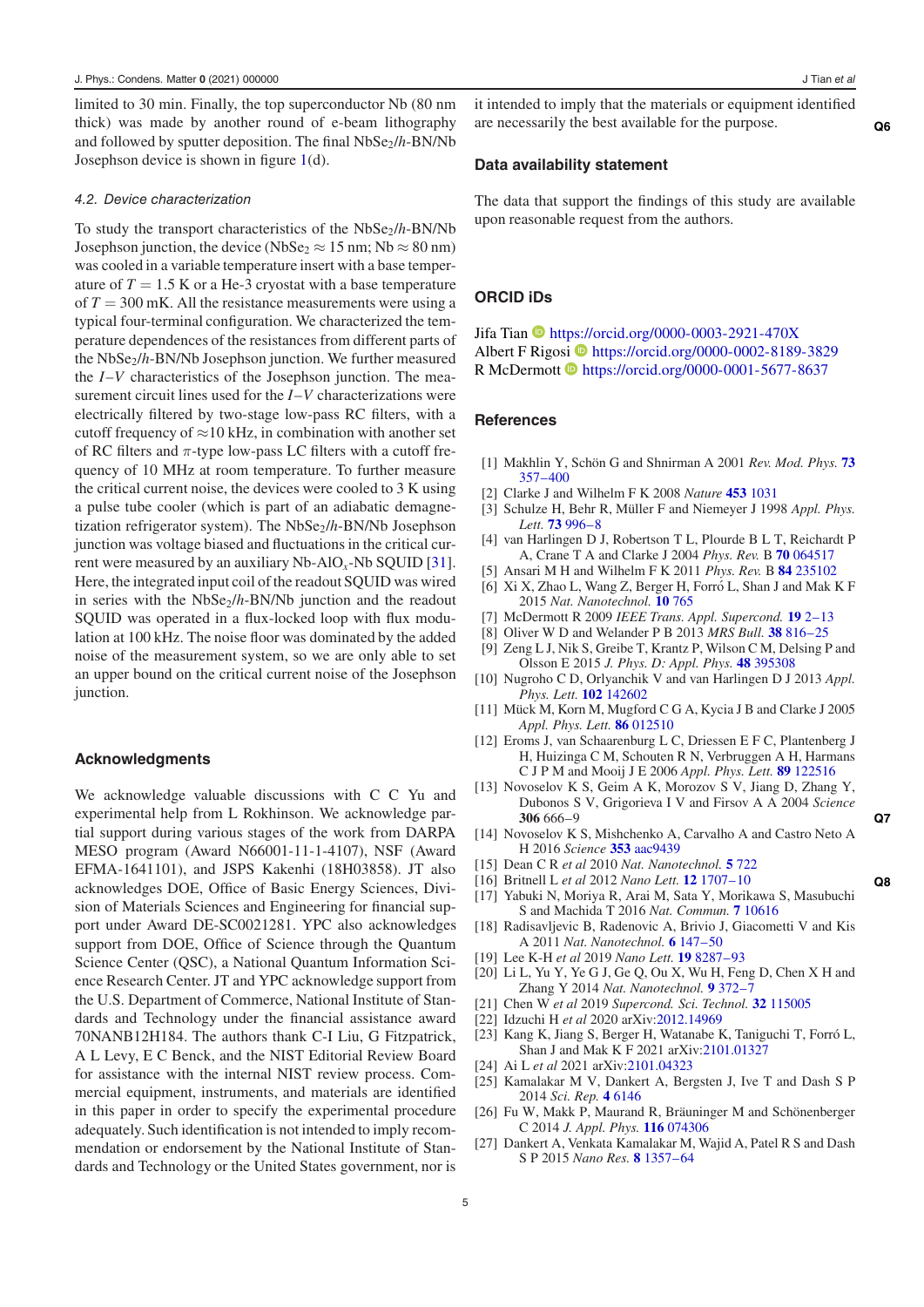limited to 30 min. Finally, the top superconductor Nb (80 nm thick) was made by another round of e-beam lithography and followed by sputter deposition. The final NbSe<sub>2</sub>/h-BN/Nb Josephson device is shown in figure [1\(](#page-3-0)d).

#### 4.2. Device characterization

To study the transport characteristics of the NbSe2/*h*-BN/Nb Josephson junction, the device (NbSe<sub>2</sub>  $\approx$  15 nm; Nb  $\approx$  80 nm) was cooled in a variable temperature insert with a base temperature of  $T = 1.5$  K or a He-3 cryostat with a base temperature of  $T = 300$  mK. All the resistance measurements were using a typical four-terminal configuration. We characterized the temperature dependences of the resistances from different parts of the NbSe<sub>2</sub>/h-BN/Nb Josephson junction. We further measured the *I*–*V* characteristics of the Josephson junction. The measurement circuit lines used for the *I*–*V* characterizations were electrically filtered by two-stage low-pass RC filters, with a cutoff frequency of  $\approx$ 10 kHz, in combination with another set of RC filters and  $\pi$ -type low-pass LC filters with a cutoff frequency of 10 MHz at room temperature. To further measure the critical current noise, the devices were cooled to 3 K using a pulse tube cooler (which is part of an adiabatic demagnetization refrigerator system). The NbSe<sub>2</sub>/h-BN/Nb Josephson junction was voltage biased and fluctuations in the critical current were measured by an auxiliary Nb-AlO*x*-Nb SQUID [\[31\]](#page-6-2). Here, the integrated input coil of the readout SQUID was wired in series with the NbSe<sub>2</sub>/h-BN/Nb junction and the readout SQUID was operated in a flux-locked loop with flux modulation at 100 kHz. The noise floor was dominated by the added noise of the measurement system, so we are only able to set an upper bound on the critical current noise of the Josephson junction.

#### **Acknowledgments**

We acknowledge valuable discussions with C C Yu and experimental help from L Rokhinson. We acknowledge partial support during various stages of the work from DARPA MESO program (Award N66001-11-1-4107), NSF (Award EFMA-1641101), and JSPS Kakenhi (18H03858). JT also acknowledges DOE, Office of Basic Energy Sciences, Division of Materials Sciences and Engineering for financial support under Award DE-SC0021281. YPC also acknowledges support from DOE, Office of Science through the Quantum Science Center (QSC), a National Quantum Information Science Research Center. JT and YPC acknowledge support from the U.S. Department of Commerce, National Institute of Standards and Technology under the financial assistance award 70NANB12H184. The authors thank C-I Liu, G Fitzpatrick, A L Levy, E C Benck, and the NIST Editorial Review Board for assistance with the internal NIST review process. Commercial equipment, instruments, and materials are identified in this paper in order to specify the experimental procedure adequately. Such identification is not intended to imply recommendation or endorsement by the National Institute of Standards and Technology or the United States government, nor is it intended to imply that the materials or equipment identified are necessarily the best available for the purpose. **[Q6](#page-0-5)**

#### <span id="page-5-0"></span>**Data availability statement**

The data that support the findings of this study are available upon reasonable request from the authors.

#### **ORCID iDs**

Jifa Tian <https://orcid.org/0000-0003-2921-470X> Albert F Rigo[si](https://orcid.org/0000-0001-5677-8637) **<https://orcid.org/0000-0002-8189-3829>** R McDermott <https://orcid.org/0000-0001-5677-8637>

#### **References**

- <span id="page-5-3"></span>[1] Makhlin Y, Schön G and Shnirman A 2001 *Rev. Mod. Phys.* **[73](https://doi.org/10.1103/revmodphys.73.357)** [357–400](https://doi.org/10.1103/revmodphys.73.357)
- <span id="page-5-4"></span>[2] Clarke J and Wilhelm F K 2008 *Nature* **[453](https://doi.org/10.1038/nature07128)** [1031](https://doi.org/10.1038/nature07128)
- <span id="page-5-5"></span>[3] Schulze H, Behr R, Müller F and Niemeyer J 1998 *Appl. Phys. Lett.* **[73](https://doi.org/10.1063/1.122064)** [996–8](https://doi.org/10.1063/1.122064)
- <span id="page-5-6"></span>[4] van Harlingen D J, Robertson T L, Plourde B L T, Reichardt P A, Crane T A and Clarke J 2004 *Phys. Rev.* B **[70](https://doi.org/10.1103/physrevb.70.064517)** [064517](https://doi.org/10.1103/physrevb.70.064517)
- <span id="page-5-7"></span>[5] Ansari M H and Wilhelm F K 2011 *Phys. Rev.* B **[84](https://doi.org/10.1103/physrevb.84.235102)** [235102](https://doi.org/10.1103/physrevb.84.235102)
- <span id="page-5-8"></span>[6] Xi X, Zhao L, Wang Z, Berger H, Forró L, Shan J and Mak K F 2015 *Nat. Nanotechnol.* **[10](https://doi.org/10.1038/nnano.2015.143)** [765](https://doi.org/10.1038/nnano.2015.143)
- [7] McDermott R 2009 *IEEE Trans. Appl. Supercond.* **[19](https://doi.org/10.1109/tasc.2008.2012255)** [2–13](https://doi.org/10.1109/tasc.2008.2012255)
- [8] Oliver W D and Welander P B 2013 *MRS Bull.* **[38](https://doi.org/10.1557/mrs.2013.229)** [816–25](https://doi.org/10.1557/mrs.2013.229)
- <span id="page-5-9"></span>[9] Zeng L J, Nik S, Greibe T, Krantz P, Wilson C M, Delsing P and Olsson E 2015 *J. Phys. D: Appl. Phys.* **[48](https://doi.org/10.1088/0022-3727/48/39/395308)** [395308](https://doi.org/10.1088/0022-3727/48/39/395308)
- <span id="page-5-10"></span>[10] Nugroho C D, Orlyanchik V and van Harlingen D J 2013 *Appl. Phys. Lett.* **[102](https://doi.org/10.1063/1.4801521)** [142602](https://doi.org/10.1063/1.4801521)
- [11] Mück M, Korn M, Mugford C G A, Kycia J B and Clarke J 2005 *Appl. Phys. Lett.* **[86](https://doi.org/10.1063/1.1846157)** [012510](https://doi.org/10.1063/1.1846157)
- <span id="page-5-11"></span>[12] Eroms J, van Schaarenburg L C, Driessen E F C, Plantenberg J H, Huizinga C M, Schouten R N, Verbruggen A H, Harmans C J P M and Mooij J E 2006 *Appl. Phys. Lett.* **[89](https://doi.org/10.1063/1.2357010)** [122516](https://doi.org/10.1063/1.2357010)
- <span id="page-5-12"></span>[13] Novoselov K S, Geim A K, Morozov S V, Jiang D, Zhang Y, Dubonos S V, Grigorieva I V and Firsov A A 2004 *Science* **306** 666–9 **[Q7](#page-0-6)**
- <span id="page-5-13"></span><span id="page-5-1"></span>[14] Novoselov K S, Mishchenko A, Carvalho A and Castro Neto A H 2016 *Science* **[353](https://doi.org/10.1126/science.aac9439)** [aac9439](https://doi.org/10.1126/science.aac9439)
- <span id="page-5-14"></span>[15] Dean C R *et al* 2010 *Nat. Nanotechnol.* **[5](https://doi.org/10.1038/nnano.2010.172)** [722](https://doi.org/10.1038/nnano.2010.172)
- <span id="page-5-15"></span>[16] Britnell L *et al* 2012 *Nano Lett.* **[12](https://doi.org/10.1021/nl3002205)** [1707–10](https://doi.org/10.1021/nl3002205) **[Q8](#page-0-7)**
- <span id="page-5-16"></span><span id="page-5-2"></span>[17] Yabuki N, Moriya R, Arai M, Sata Y, Morikawa S, Masubuchi S and Machida T 2016 *Nat. Commun.* **[7](https://doi.org/10.1038/ncomms10616)** [10616](https://doi.org/10.1038/ncomms10616)
- <span id="page-5-17"></span>[18] Radisavljevic B, Radenovic A, Brivio J, Giacometti V and Kis A 2011 *Nat. Nanotechnol.* **[6](https://doi.org/10.1038/nnano.2010.279)** [147–50](https://doi.org/10.1038/nnano.2010.279)
- <span id="page-5-18"></span>[19] Lee K-H *et al* 2019 *Nano Lett.* **[19](https://doi.org/10.1021/acs.nanolett.9b03886)** [8287–93](https://doi.org/10.1021/acs.nanolett.9b03886)
- <span id="page-5-19"></span>[20] Li L, Yu Y, Ye G J, Ge Q, Ou X, Wu H, Feng D, Chen X H and Zhang Y 2014 *Nat. Nanotechnol.* **[9](https://doi.org/10.1038/nnano.2014.35)** [372–7](https://doi.org/10.1038/nnano.2014.35)
- <span id="page-5-20"></span>[21] Chen W *et al* 2019 *Supercond. Sci. Technol.* **[32](https://doi.org/10.1088/1361-6668/ab3dc7)** [115005](https://doi.org/10.1088/1361-6668/ab3dc7)
- <span id="page-5-21"></span>[22] Idzuchi H *et al* 2020 arXiv[:2012.14969](https://arxiv.org/abs/2012.14969)
- [23] Kang K, Jiang S, Berger H, Watanabe K, Taniguchi T, Forró L, Shan J and Mak K F 2021 arXiv[:2101.01327](https://arxiv.org/abs/2101.01327)
- <span id="page-5-22"></span>[24] Ai L *et al* 2021 arXiv[:2101.04323](https://arxiv.org/abs/2101.04323)
- <span id="page-5-23"></span>[25] Kamalakar M V, Dankert A, Bergsten J, Ive T and Dash S P 2014 *Sci. Rep.* **[4](https://doi.org/10.1038/srep06146)** [6146](https://doi.org/10.1038/srep06146)
- <span id="page-5-24"></span>[26] Fu W, Makk P, Maurand R, Bräuninger M and Schönenberger C 2014 *J. Appl. Phys.* **[116](https://doi.org/10.1063/1.4893578)** [074306](https://doi.org/10.1063/1.4893578)
- <span id="page-5-26"></span><span id="page-5-25"></span>[27] Dankert A, Venkata Kamalakar M, Wajid A, Patel R S and Dash S P 2015 *Nano Res.* **[8](https://doi.org/10.1007/s12274-014-0627-4)** [1357–64](https://doi.org/10.1007/s12274-014-0627-4)